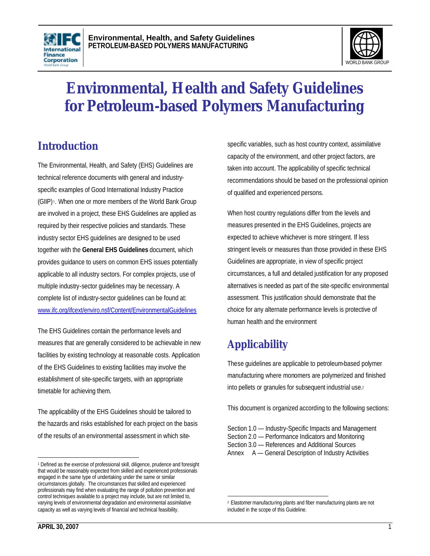



# **Environmental, Health and Safety Guidelines for Petroleum-based Polymers Manufacturing**

## **Introduction**

The Environmental, Health, and Safety (EHS) Guidelines are technical reference documents with general and industryspecific examples of Good International Industry Practice (GIIP) <sup>1</sup> . When one or more members of the World Bank Group are involved in a project, these EHS Guidelines are applied as required by their respective policies and standards. These industry sector EHS guidelines are designed to be used together with the **General EHS Guidelines** document, which provides guidance to users on common EHS issues potentially applicable to all industry sectors. For complex projects, use of multiple industry-sector guidelines may be necessary. A complete list of industry-sector guidelines can be found at: www.ifc.org/ifcext/enviro.nsf/Content/EnvironmentalGuidelines

The EHS Guidelines contain the performance levels and measures that are generally considered to be achievable in new facilities by existing technology at reasonable costs. Application of the EHS Guidelines to existing facilities may involve the establishment of site-specific targets, with an appropriate timetable for achieving them.

The applicability of the EHS Guidelines should be tailored to the hazards and risks established for each project on the basis of the results of an environmental assessment in which sitespecific variables, such as host country context, assimilative capacity of the environment, and other project factors, are taken into account. The applicability of specific technical recommendations should be based on the professional opinion of qualified and experienced persons.

When host country regulations differ from the levels and measures presented in the EHS Guidelines, projects are expected to achieve whichever is more stringent. If less stringent levels or measures than those provided in these EHS Guidelines are appropriate, in view of specific project circumstances, a full and detailed justification for any proposed alternatives is needed as part of the site-specific environmental assessment. This justification should demonstrate that the choice for any alternate performance levels is protective of human health and the environment

## **Applicability**

These guidelines are applicable to petroleum-based polymer manufacturing where monomers are polymerized and finished into pellets or granules for subsequent industrial use.<sup>2</sup>

This document is organized according to the following sections:

Section 1.0 — Industry-Specific Impacts and Management Section 2.0 — Performance Indicators and Monitoring Section 3.0 — References and Additional Sources Annex A — General Description of Industry Activities

l <sup>1</sup> Defined as the exercise of professional skill, diligence, prudence and foresight that would be reasonably expected from skilled and experienced professionals engaged in the same type of undertaking under the same or similar circumstances globally. The circumstances that skilled and experienced professionals may find when evaluating the range of pollution prevention and control techniques available to a project may include, but are not limited to, varying levels of environmental degradation and environmental assimilative capacity as well as varying levels of financial and technical feasibility.

 $\overline{a}$ <sup>2</sup> Elastomer manufacturing plants and fiber manufacturing plants are not included in the scope of this Guideline.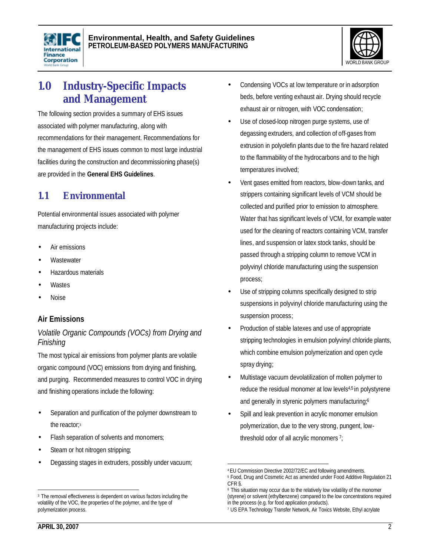



## **1.0 Industry-Specific Impacts and Management**

The following section provides a summary of EHS issues associated with polymer manufacturing, along with recommendations for their management. Recommendations for the management of EHS issues common to most large industrial facilities during the construction and decommissioning phase(s) are provided in the **General EHS Guidelines**.

### **1.1 Environmental**

Potential environmental issues associated with polymer manufacturing projects include:

- Air emissions
- **Wastewater**
- Hazardous materials
- **Wastes**
- Noise

#### **Air Emissions**

*Volatile Organic Compounds (VOCs) from Drying and Finishing*

The most typical air emissions from polymer plants are volatile organic compound (VOC) emissions from drying and finishing, and purging. Recommended measures to control VOC in drying and finishing operations include the following:

- Separation and purification of the polymer downstream to the reactor;<sup>3</sup>
- Flash separation of solvents and monomers;
- Steam or hot nitrogen stripping;
- Degassing stages in extruders, possibly under vacuum;
- Condensing VOCs at low temperature or in adsorption beds, before venting exhaust air. Drying should recycle exhaust air or nitrogen, with VOC condensation;
- Use of closed-loop nitrogen purge systems, use of degassing extruders, and collection of off-gases from extrusion in polyolefin plants due to the fire hazard related to the flammability of the hydrocarbons and to the high temperatures involved;
- Vent gases emitted from reactors, blow-down tanks, and strippers containing significant levels of VCM should be collected and purified prior to emission to atmosphere. Water that has significant levels of VCM, for example water used for the cleaning of reactors containing VCM, transfer lines, and suspension or latex stock tanks, should be passed through a stripping column to remove VCM in polyvinyl chloride manufacturing using the suspension process;
- Use of stripping columns specifically designed to strip suspensions in polyvinyl chloride manufacturing using the suspension process;
- Production of stable latexes and use of appropriate stripping technologies in emulsion polyvinyl chloride plants, which combine emulsion polymerization and open cycle spray drying;
- Multistage vacuum devolatilization of molten polymer to reduce the residual monomer at low levels<sup>4,5</sup> in polystyrene and generally in styrenic polymers manufacturing;6
- Spill and leak prevention in acrylic monomer emulsion polymerization, due to the very strong, pungent, lowthreshold odor of all acrylic monomers  $7$ ;

 $\overline{a}$ 

 $\overline{a}$ <sup>3</sup> The removal effectiveness is dependent on various factors including the volatility of the VOC, the properties of the polymer, and the type of polymerization process.

<sup>4</sup> EU Commission Directive 2002/72/EC and following amendments. <sup>5</sup> Food, Drug and Cosmetic Act as amended under Food Additive Regulation 21 CFR §.

<sup>6</sup> This situation may occur due to the relatively low volatility of the monomer (styrene) or solvent (ethylbenzene) compared to the low concentrations required in the process (e.g. for food application products).

<sup>7</sup> US EPA Technology Transfer Network, Air Toxics Website, Ethyl acrylate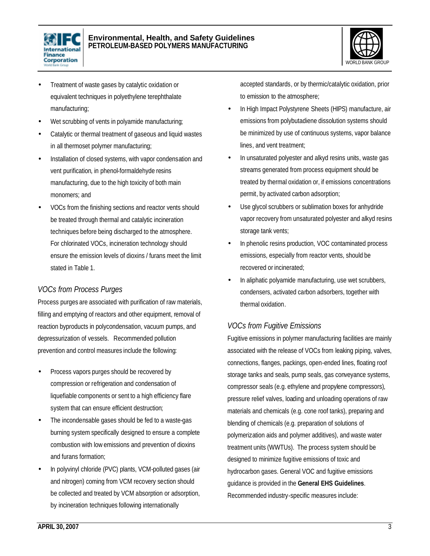

#### **Environmental, Health, and Safety Guidelines PETROLEUM-BASED POLYMERS MANUFACTURING**



- Treatment of waste gases by catalytic oxidation or equivalent techniques in polyethylene terephthalate manufacturing;
- Wet scrubbing of vents in polyamide manufacturing;
- Catalytic or thermal treatment of gaseous and liquid wastes in all thermoset polymer manufacturing;
- Installation of closed systems, with vapor condensation and vent purification, in phenol-formaldehyde resins manufacturing, due to the high toxicity of both main monomers; and
- VOCs from the finishing sections and reactor vents should be treated through thermal and catalytic incineration techniques before being discharged to the atmosphere. For chlorinated VOCs, incineration technology should ensure the emission levels of dioxins / furans meet the limit stated in Table 1.

#### *VOCs from Process Purges*

Process purges are associated with purification of raw materials, filling and emptying of reactors and other equipment, removal of reaction byproducts in polycondensation, vacuum pumps, and depressurization of vessels. Recommended pollution prevention and control measures include the following:

- Process vapors purges should be recovered by compression or refrigeration and condensation of liquefiable components or sent to a high efficiency flare system that can ensure efficient destruction;
- The incondensable gases should be fed to a waste-gas burning system specifically designed to ensure a complete combustion with low emissions and prevention of dioxins and furans formation;
- In polyvinyl chloride (PVC) plants, VCM-polluted gases (air and nitrogen) coming from VCM recovery section should be collected and treated by VCM absorption or adsorption, by incineration techniques following internationally

accepted standards, or by thermic/catalytic oxidation, prior to emission to the atmosphere;

- In High Impact Polystyrene Sheets (HIPS) manufacture, air emissions from polybutadiene dissolution systems should be minimized by use of continuous systems, vapor balance lines, and vent treatment;
- In unsaturated polyester and alkyd resins units, waste gas streams generated from process equipment should be treated by thermal oxidation or, if emissions concentrations permit, by activated carbon adsorption;
- Use glycol scrubbers or sublimation boxes for anhydride vapor recovery from unsaturated polyester and alkyd resins storage tank vents;
- In phenolic resins production, VOC contaminated process emissions, especially from reactor vents, should be recovered or incinerated;
- In aliphatic polyamide manufacturing, use wet scrubbers, condensers, activated carbon adsorbers, together with thermal oxidation.

### *VOCs from Fugitive Emissions*

Fugitive emissions in polymer manufacturing facilities are mainly associated with the release of VOCs from leaking piping, valves, connections, flanges, packings, open-ended lines, floating roof storage tanks and seals, pump seals, gas conveyance systems, compressor seals (e.g. ethylene and propylene compressors), pressure relief valves, loading and unloading operations of raw materials and chemicals (e.g. cone roof tanks), preparing and blending of chemicals (e.g. preparation of solutions of polymerization aids and polymer additives), and waste water treatment units (WWTUs). The process system should be designed to minimize fugitive emissions of toxic and hydrocarbon gases. General VOC and fugitive emissions guidance is provided in the **General EHS Guidelines**. Recommended industry-specific measures include: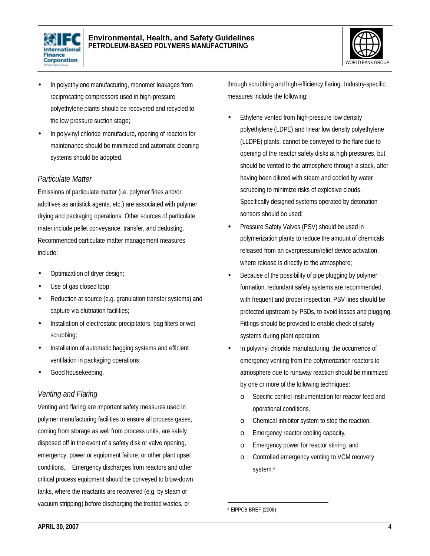



- In polyethylene manufacturing, monomer leakages from reciprocating compressors used in high-pressure polyethylene plants should be recovered and recycled to the low pressure suction stage;
- In polyvinyl chloride manufacture, opening of reactors for maintenance should be minimized and automatic cleaning systems should be adopted.

#### *Particulate Matter*

Emissions of particulate matter (i.e. polymer fines and/or additives as antistick agents, etc.) are associated with polymer drying and packaging operations. Other sources of particulate mater include pellet conveyance, transfer, and dedusting. Recommended particulate matter management measures include:

- Optimization of dryer design;
- Use of gas closed loop;
- Reduction at source (e.g. granulation transfer systems) and capture via elutriation facilities;
- Installation of electrostatic precipitators, bag filters or wet scrubbing;
- Installation of automatic bagging systems and efficient ventilation in packaging operations;
- Good housekeeping.

#### *Venting and Flaring*

Venting and flaring are important safety measures used in polymer manufacturing facilities to ensure all process gases, coming from storage as well from process units, are safely disposed off in the event of a safety disk or valve opening, emergency, power or equipment failure, or other plant upset conditions. Emergency discharges from reactors and other critical process equipment should be conveyed to blow-down tanks, where the reactants are recovered (e.g. by steam or vacuum stripping) before discharging the treated wastes, or

through scrubbing and high-efficiency flaring. Industry-specific measures include the following:

- Ethylene vented from high-pressure low density polyethylene (LDPE) and linear low density polyethylene (LLDPE) plants, cannot be conveyed to the flare due to opening of the reactor safety disks at high pressures, but should be vented to the atmosphere through a stack, after having been diluted with steam and cooled by water scrubbing to minimize risks of explosive clouds. Specifically designed systems operated by detonation sensors should be used;
- Pressure Safety Valves (PSV) should be used in polymerization plants to reduce the amount of chemicals released from an overpressure/relief device activation, where release is directly to the atmosphere;
- Because of the possibility of pipe plugging by polymer formation, redundant safety systems are recommended, with frequent and proper inspection. PSV lines should be protected upstream by PSDs, to avoid losses and plugging. Fittings should be provided to enable check of safety systems during plant operation;
- In polyvinyl chloride manufacturing, the occurrence of emergency venting from the polymerization reactors to atmosphere due to runaway reaction should be minimized by one or more of the following techniques:
	- o Specific control instrumentation for reactor feed and operational conditions,
	- o Chemical inhibitor system to stop the reaction,
	- o Emergency reactor cooling capacity,
	- o Emergency power for reactor stirring, and
	- o Controlled emergency venting to VCM recovery system. 8

<sup>1</sup> <sup>8</sup> EIPPCB BREF (2006)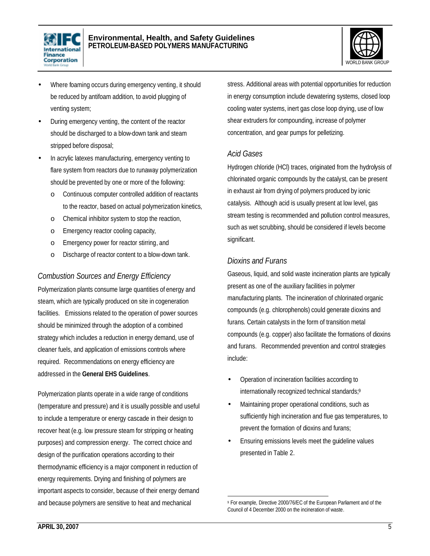



- Where foaming occurs during emergency venting, it should be reduced by antifoam addition, to avoid plugging of venting system;
- During emergency venting, the content of the reactor should be discharged to a blow-down tank and steam stripped before disposal;
- In acrylic latexes manufacturing, emergency venting to flare system from reactors due to runaway polymerization should be prevented by one or more of the following:
	- o Continuous computer controlled addition of reactants to the reactor, based on actual polymerization kinetics,
	- o Chemical inhibitor system to stop the reaction,
	- o Emergency reactor cooling capacity,
	- o Emergency power for reactor stirring, and
	- o Discharge of reactor content to a blow-down tank.

#### *Combustion Sources and Energy Efficiency*

Polymerization plants consume large quantities of energy and steam, which are typically produced on site in cogeneration facilities. Emissions related to the operation of power sources should be minimized through the adoption of a combined strategy which includes a reduction in energy demand, use of cleaner fuels, and application of emissions controls where required. Recommendations on energy efficiency are addressed in the **General EHS Guidelines**.

Polymerization plants operate in a wide range of conditions (temperature and pressure) and it is usually possible and useful to include a temperature or energy cascade in their design to recover heat (e.g. low pressure steam for stripping or heating purposes) and compression energy. The correct choice and design of the purification operations according to their thermodynamic efficiency is a major component in reduction of energy requirements. Drying and finishing of polymers are important aspects to consider, because of their energy demand and because polymers are sensitive to heat and mechanical

stress. Additional areas with potential opportunities for reduction in energy consumption include dewatering systems, closed loop cooling water systems, inert gas close loop drying, use of low shear extruders for compounding, increase of polymer concentration, and gear pumps for pelletizing.

#### *Acid Gases*

Hydrogen chloride (HCl) traces, originated from the hydrolysis of chlorinated organic compounds by the catalyst, can be present in exhaust air from drying of polymers produced by ionic catalysis. Although acid is usually present at low level, gas stream testing is recommended and pollution control measures, such as wet scrubbing, should be considered if levels become significant.

#### *Dioxins and Furans*

Gaseous, liquid, and solid waste incineration plants are typically present as one of the auxiliary facilities in polymer manufacturing plants. The incineration of chlorinated organic compounds (e.g. chlorophenols) could generate dioxins and furans. Certain catalysts in the form of transition metal compounds (e.g. copper) also facilitate the formations of dioxins and furans. Recommended prevention and control strategies include:

- Operation of incineration facilities according to internationally recognized technical standards;<sup>9</sup>
- Maintaining proper operational conditions, such as sufficiently high incineration and flue gas temperatures, to prevent the formation of dioxins and furans;
- Ensuring emissions levels meet the guideline values presented in Table 2.

<sup>1</sup> <sup>9</sup> For example, Directive 2000/76/EC of the European Parliament and of the Council of 4 December 2000 on the incineration of waste.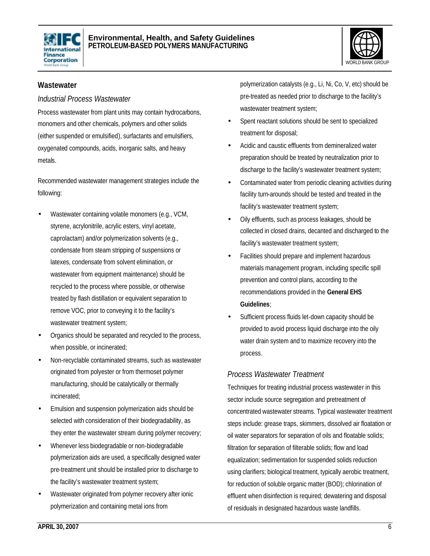

#### **Environmental, Health, and Safety Guidelines PETROLEUM-BASED POLYMERS MANUFACTURING**



#### **Wastewater**

#### *Industrial Process Wastewater*

Process wastewater from plant units may contain hydrocarbons, monomers and other chemicals, polymers and other solids (either suspended or emulsified), surfactants and emulsifiers, oxygenated compounds, acids, inorganic salts, and heavy metals.

Recommended wastewater management strategies include the following:

- Wastewater containing volatile monomers (e.g., VCM, styrene, acrylonitrile, acrylic esters, vinyl acetate, caprolactam) and/or polymerization solvents (e.g., condensate from steam stripping of suspensions or latexes, condensate from solvent elimination, or wastewater from equipment maintenance) should be recycled to the process where possible, or otherwise treated by flash distillation or equivalent separation to remove VOC, prior to conveying it to the facility's wastewater treatment system;
- Organics should be separated and recycled to the process, when possible, or incinerated;
- Non-recyclable contaminated streams, such as wastewater originated from polyester or from thermoset polymer manufacturing, should be catalytically or thermally incinerated;
- Emulsion and suspension polymerization aids should be selected with consideration of their biodegradability, as they enter the wastewater stream during polymer recovery;
- Whenever less biodegradable or non-biodegradable polymerization aids are used, a specifically designed water pre-treatment unit should be installed prior to discharge to the facility's wastewater treatment system;
- Wastewater originated from polymer recovery after ionic polymerization and containing metal ions from

polymerization catalysts (e.g., Li, Ni, Co, V, etc) should be pre-treated as needed prior to discharge to the facility's wastewater treatment system;

- Spent reactant solutions should be sent to specialized treatment for disposal;
- Acidic and caustic effluents from demineralized water preparation should be treated by neutralization prior to discharge to the facility's wastewater treatment system;
- Contaminated water from periodic cleaning activities during facility turn-arounds should be tested and treated in the facility's wastewater treatment system;
- Oily effluents, such as process leakages, should be collected in closed drains, decanted and discharged to the facility's wastewater treatment system;
- Facilities should prepare and implement hazardous materials management program, including specific spill prevention and control plans, according to the recommendations provided in the **General EHS Guidelines**;
- Sufficient process fluids let-down capacity should be provided to avoid process liquid discharge into the oily water drain system and to maximize recovery into the process.

#### *Process Wastewater Treatment*

Techniques for treating industrial process wastewater in this sector include source segregation and pretreatment of concentrated wastewater streams. Typical wastewater treatment steps include: grease traps, skimmers, dissolved air floatation or oil water separators for separation of oils and floatable solids; filtration for separation of filterable solids; flow and load equalization; sedimentation for suspended solids reduction using clarifiers; biological treatment, typically aerobic treatment, for reduction of soluble organic matter (BOD); chlorination of effluent when disinfection is required; dewatering and disposal of residuals in designated hazardous waste landfills.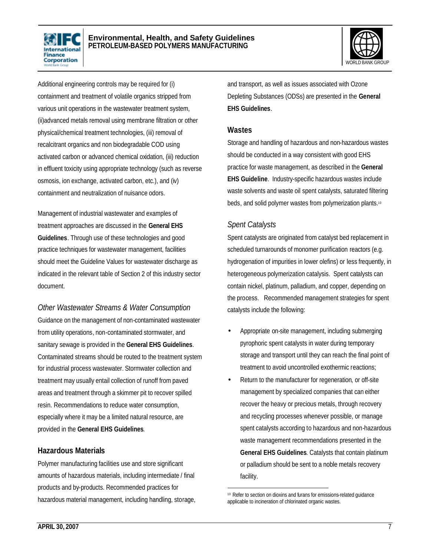



Additional engineering controls may be required for (i) containment and treatment of volatile organics stripped from various unit operations in the wastewater treatment system, (ii)advanced metals removal using membrane filtration or other physical/chemical treatment technologies, (iii) removal of recalcitrant organics and non biodegradable COD using activated carbon or advanced chemical oxidation, (iii) reduction in effluent toxicity using appropriate technology (such as reverse osmosis, ion exchange, activated carbon, etc.), and (iv) containment and neutralization of nuisance odors.

Management of industrial wastewater and examples of treatment approaches are discussed in the **General EHS Guidelines**. Through use of these technologies and good practice techniques for wastewater management, facilities should meet the Guideline Values for wastewater discharge as indicated in the relevant table of Section 2 of this industry sector document.

*Other Wastewater Streams & Water Consumption* Guidance on the management of non-contaminated wastewater from utility operations, non-contaminated stormwater, and sanitary sewage is provided in the **General EHS Guidelines**. Contaminated streams should be routed to the treatment system for industrial process wastewater. Stormwater collection and treatment may usually entail collection of runoff from paved areas and treatment through a skimmer pit to recover spilled resin. Recommendations to reduce water consumption, especially where it may be a limited natural resource, are provided in the **General EHS Guidelines**.

#### **Hazardous Materials**

Polymer manufacturing facilities use and store significant amounts of hazardous materials, including intermediate / final products and by-products. Recommended practices for hazardous material management, including handling, storage, and transport, as well as issues associated with Ozone Depleting Substances (ODSs) are presented in the **General EHS Guidelines**.

#### **Wastes**

Storage and handling of hazardous and non-hazardous wastes should be conducted in a way consistent with good EHS practice for waste management, as described in the **General EHS Guideline**. Industry-specific hazardous wastes include waste solvents and waste oil spent catalysts, saturated filtering beds, and solid polymer wastes from polymerization plants.<sup>10</sup>

#### *Spent Catalysts*

Spent catalysts are originated from catalyst bed replacement in scheduled turnarounds of monomer purification reactors (e.g. hydrogenation of impurities in lower olefins) or less frequently, in heterogeneous polymerization catalysis. Spent catalysts can contain nickel, platinum, palladium, and copper, depending on the process. Recommended management strategies for spent catalysts include the following:

- Appropriate on-site management, including submerging pyrophoric spent catalysts in water during temporary storage and transport until they can reach the final point of treatment to avoid uncontrolled exothermic reactions;
- Return to the manufacturer for regeneration, or off-site management by specialized companies that can either recover the heavy or precious metals, through recovery and recycling processes whenever possible, or manage spent catalysts according to hazardous and non-hazardous waste management recommendations presented in the **General EHS Guidelines**. Catalysts that contain platinum or palladium should be sent to a noble metals recovery facility.

 $\overline{a}$ <sup>10</sup> Refer to section on dioxins and furans for emissions-related guidance applicable to incineration of chlorinated organic wastes.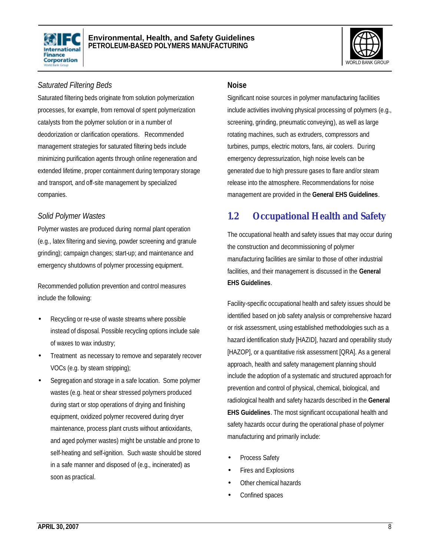



#### *Saturated Filtering Beds*

Saturated filtering beds originate from solution polymerization processes, for example, from removal of spent polymerization catalysts from the polymer solution or in a number of deodorization or clarification operations. Recommended management strategies for saturated filtering beds include minimizing purification agents through online regeneration and extended lifetime, proper containment during temporary storage and transport, and off-site management by specialized companies.

#### *Solid Polymer Wastes*

Polymer wastes are produced during normal plant operation (e.g., latex filtering and sieving, powder screening and granule grinding); campaign changes; start-up; and maintenance and emergency shutdowns of polymer processing equipment.

Recommended pollution prevention and control measures include the following:

- Recycling or re-use of waste streams where possible instead of disposal. Possible recycling options include sale of waxes to wax industry;
- Treatment as necessary to remove and separately recover VOCs (e.g. by steam stripping);
- Segregation and storage in a safe location. Some polymer wastes (e.g. heat or shear stressed polymers produced during start or stop operations of drying and finishing equipment, oxidized polymer recovered during dryer maintenance, process plant crusts without antioxidants, and aged polymer wastes) might be unstable and prone to self-heating and self-ignition. Such waste should be stored in a safe manner and disposed of (e.g., incinerated) as soon as practical.

#### **Noise**

Significant noise sources in polymer manufacturing facilities include activities involving physical processing of polymers (e.g., screening, grinding, pneumatic conveying), as well as large rotating machines, such as extruders, compressors and turbines, pumps, electric motors, fans, air coolers. During emergency depressurization, high noise levels can be generated due to high pressure gases to flare and/or steam release into the atmosphere. Recommendations for noise management are provided in the **General EHS Guidelines**.

### **1.2 Occupational Health and Safety**

The occupational health and safety issues that may occur during the construction and decommissioning of polymer manufacturing facilities are similar to those of other industrial facilities, and their management is discussed in the **General EHS Guidelines**.

Facility-specific occupational health and safety issues should be identified based on job safety analysis or comprehensive hazard or risk assessment, using established methodologies such as a hazard identification study [HAZID], hazard and operability study [HAZOP], or a quantitative risk assessment [QRA]. As a general approach, health and safety management planning should include the adoption of a systematic and structured approach for prevention and control of physical, chemical, biological, and radiological health and safety hazards described in the **General EHS Guidelines**. The most significant occupational health and safety hazards occur during the operational phase of polymer manufacturing and primarily include:

- Process Safety
- Fires and Explosions
- Other chemical hazards
- Confined spaces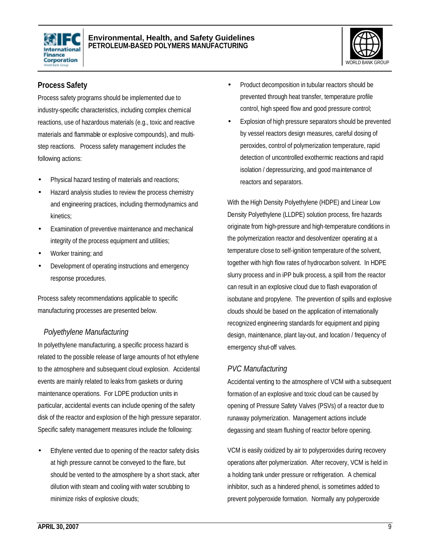



#### **Process Safety**

Process safety programs should be implemented due to industry-specific characteristics, including complex chemical reactions, use of hazardous materials (e.g., toxic and reactive materials and flammable or explosive compounds), and multistep reactions. Process safety management includes the following actions:

- Physical hazard testing of materials and reactions;
- Hazard analysis studies to review the process chemistry and engineering practices, including thermodynamics and kinetics;
- Examination of preventive maintenance and mechanical integrity of the process equipment and utilities;
- Worker training; and
- Development of operating instructions and emergency response procedures.

Process safety recommendations applicable to specific manufacturing processes are presented below.

#### *Polyethylene Manufacturing*

In polyethylene manufacturing, a specific process hazard is related to the possible release of large amounts of hot ethylene to the atmosphere and subsequent cloud explosion. Accidental events are mainly related to leaks from gaskets or during maintenance operations. For LDPE production units in particular, accidental events can include opening of the safety disk of the reactor and explosion of the high pressure separator. Specific safety management measures include the following:

Ethylene vented due to opening of the reactor safety disks at high pressure cannot be conveyed to the flare, but should be vented to the atmosphere by a short stack, after dilution with steam and cooling with water scrubbing to minimize risks of explosive clouds;

- Product decomposition in tubular reactors should be prevented through heat transfer, temperature profile control, high speed flow and good pressure control;
- Explosion of high pressure separators should be prevented by vessel reactors design measures, careful dosing of peroxides, control of polymerization temperature, rapid detection of uncontrolled exothermic reactions and rapid isolation / depressurizing, and good maintenance of reactors and separators.

With the High Density Polyethylene (HDPE) and Linear Low Density Polyethylene (LLDPE) solution process, fire hazards originate from high-pressure and high-temperature conditions in the polymerization reactor and desolventizer operating at a temperature close to self-ignition temperature of the solvent, together with high flow rates of hydrocarbon solvent. In HDPE slurry process and in iPP bulk process, a spill from the reactor can result in an explosive cloud due to flash evaporation of isobutane and propylene. The prevention of spills and explosive clouds should be based on the application of internationally recognized engineering standards for equipment and piping design, maintenance, plant lay-out, and location / frequency of emergency shut-off valves.

#### *PVC Manufacturing*

Accidental venting to the atmosphere of VCM with a subsequent formation of an explosive and toxic cloud can be caused by opening of Pressure Safety Valves (PSVs) of a reactor due to runaway polymerization. Management actions include degassing and steam flushing of reactor before opening.

VCM is easily oxidized by air to polyperoxides during recovery operations after polymerization. After recovery, VCM is held in a holding tank under pressure or refrigeration. A chemical inhibitor, such as a hindered phenol, is sometimes added to prevent polyperoxide formation. Normally any polyperoxide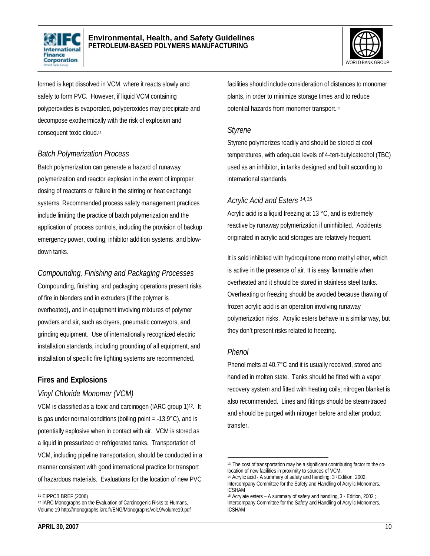



formed is kept dissolved in VCM, where it reacts slowly and safely to form PVC. However, if liquid VCM containing polyperoxides is evaporated, polyperoxides may precipitate and decompose exothermically with the risk of explosion and consequent toxic cloud.<sup>11</sup>

#### *Batch Polymerization Process*

Batch polymerization can generate a hazard of runaway polymerization and reactor explosion in the event of improper dosing of reactants or failure in the stirring or heat exchange systems. Recommended process safety management practices include limiting the practice of batch polymerization and the application of process controls, including the provision of backup emergency power, cooling, inhibitor addition systems, and blowdown tanks.

#### *Compounding, Finishing and Packaging Processes*

Compounding, finishing, and packaging operations present risks of fire in blenders and in extruders (if the polymer is overheated), and in equipment involving mixtures of polymer powders and air, such as dryers, pneumatic conveyors, and grinding equipment. Use of internationally recognized electric installation standards, including grounding of all equipment, and installation of specific fire fighting systems are recommended.

#### **Fires and Explosions**

#### *Vinyl Chloride Monomer (VCM)*

VCM is classified as a toxic and carcinogen (IARC group 1)12. It is gas under normal conditions (boiling point  $= -13.9^{\circ}$ C), and is potentially explosive when in contact with air. VCM is stored as a liquid in pressurized or refrigerated tanks. Transportation of VCM, including pipeline transportation, should be conducted in a manner consistent with good international practice for transport of hazardous materials. Evaluations for the location of new PVC

 $\overline{a}$ 

facilities should include consideration of distances to monomer plants, in order to minimize storage times and to reduce potential hazards from monomer transport. 13

#### *Styrene*

Styrene polymerizes readily and should be stored at cool temperatures, with adequate levels of 4-tert-butylcatechol (TBC) used as an inhibitor, in tanks designed and built according to international standards.

#### *Acrylic Acid and Esters 14,15*

Acrylic acid is a liquid freezing at 13 °C, and is extremely reactive by runaway polymerization if uninhibited. Accidents originated in acrylic acid storages are relatively frequent.

It is sold inhibited with hydroquinone mono methyl ether, which is active in the presence of air. It is easy flammable when overheated and it should be stored in stainless steel tanks. Overheating or freezing should be avoided because thawing of frozen acrylic acid is an operation involving runaway polymerization risks. Acrylic esters behave in a similar way, but they don't present risks related to freezing.

#### *Phenol*

l

Phenol melts at 40.7°C and it is usually received, stored and handled in molten state. Tanks should be fitted with a vapor recovery system and fitted with heating coils; nitrogen blanket is also recommended. Lines and fittings should be steam-traced and should be purged with nitrogen before and after product transfer.

<sup>11</sup> EIPPCB BREF (2006)

<sup>12</sup> IARC Monographs on the Evaluation of Carcinogenic Risks to Humans, Volume 19 http://monographs.iarc.fr/ENG/Monographs/vol19/volume19.pdf

<sup>13</sup> The cost of transportation may be a significant contributing factor to the colocation of new facilities in proximity to sources of VCM.

<sup>14</sup> Acrylic acid - A summary of safety and handling, 3rd Edition, 2002; Intercompany Committee for the Safety and Handling of Acrylic Monomers, **ICSHAM** 

<sup>15</sup> Acrylate esters - A summary of safety and handling, 3rd Edition, 2002; Intercompany Committee for the Safety and Handling of Acrylic Monomers, ICSHAM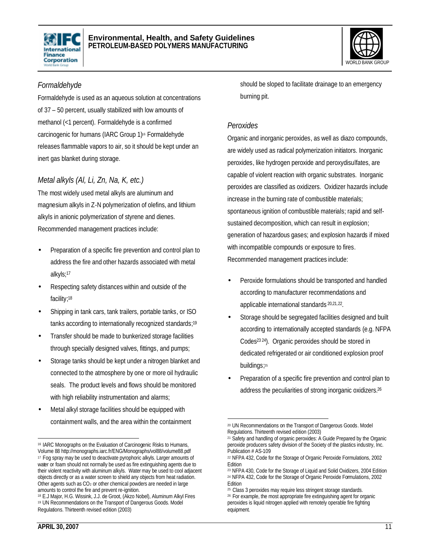



#### *Formaldehyde*

Formaldehyde is used as an aqueous solution at concentrations of 37 – 50 percent, usually stabilized with low amounts of methanol (<1 percent). Formaldehyde is a confirmed carcinogenic for humans (IARC Group 1)<sup>16</sup> Formaldehyde releases flammable vapors to air, so it should be kept under an inert gas blanket during storage.

#### *Metal alkyls (Al, Li, Zn, Na, K, etc.)*

The most widely used metal alkyls are aluminum and magnesium alkyls in Z-N polymerization of olefins, and lithium alkyls in anionic polymerization of styrene and dienes. Recommended management practices include:

- Preparation of a specific fire prevention and control plan to address the fire and other hazards associated with metal alkyls;<sup>17</sup>
- Respecting safety distances within and outside of the facility; 18
- Shipping in tank cars, tank trailers, portable tanks, or ISO tanks according to internationally recognized standards;<sup>19</sup>
- Transfer should be made to bunkerized storage facilities through specially designed valves, fittings, and pumps;
- Storage tanks should be kept under a nitrogen blanket and connected to the atmosphere by one or more oil hydraulic seals. The product levels and flows should be monitored with high reliability instrumentation and alarms;
- Metal alkyl storage facilities should be equipped with containment walls, and the area within the containment

should be sloped to facilitate drainage to an emergency burning pit.

#### *Peroxides*

Organic and inorganic peroxides, as well as diazo compounds, are widely used as radical polymerization initiators. Inorganic peroxides, like hydrogen peroxide and peroxydisulfates, are capable of violent reaction with organic substrates. Inorganic peroxides are classified as oxidizers. Oxidizer hazards include increase in the burning rate of combustible materials; spontaneous ignition of combustible materials; rapid and selfsustained decomposition, which can result in explosion; generation of hazardous gases; and explosion hazards if mixed with incompatible compounds or exposure to fires. Recommended management practices include:

- Peroxide formulations should be transported and handled according to manufacturer recommendations and applicable international standards 20,21,22 .
- Storage should be segregated facilities designed and built according to internationally accepted standards (e.g. NFPA Codes<sup>23 24</sup>). Organic peroxides should be stored in dedicated refrigerated or air conditioned explosion proof buildings; 25
- Preparation of a specific fire prevention and control plan to address the peculiarities of strong inorganic oxidizers. 26

 $\overline{a}$ 

l <sup>16</sup> IARC Monographs on the Evaluation of Carcinogenic Risks to Humans, Volume 88 http://monographs.iarc.fr/ENG/Monographs/vol88/volume88.pdf

<sup>17</sup> Fog spray may be used to deactivate pyrophoric alkyls. Larger amounts of water or foam should not normally be used as fire extinguishing agents due to their violent reactivity with aluminum alkyls. Water may be used to cool adjacent objects directly or as a water screen to shield any objects from heat radiation. Other agents such as  $CO<sub>2</sub>$  or other chemical powders are needed in large amounts to control the fire and prevent re-ignition.

<sup>18</sup> E.J Major, H.G. Wissink, J.J. de Groot, (Akzo Nobel), Aluminum Alkyl Fires <sup>19</sup> UN Recommendations on the Transport of Dangerous Goods. Model Regulations. Thirteenth revised edition (2003)

<sup>20</sup> UN Recommendations on the Transport of Dangerous Goods. Model Regulations. Thirteenth revised edition (2003)

<sup>&</sup>lt;sup>21</sup> Safety and handling of organic peroxides: A Guide Prepared by the Organic peroxide producers safety division of the Society of the plastics industry, Inc. Publication # AS-109

<sup>22</sup> NFPA 432, Code for the Storage of Organic Peroxide Formulations, 2002 Edition

<sup>23</sup> NFPA 430, Code for the Storage of Liquid and Solid Oxidizers, 2004 Edition <sup>24</sup> NFPA 432, Code for the Storage of Organic Peroxide Formulations, 2002 Edition

<sup>&</sup>lt;sup>25</sup> Class 3 peroxides may require less stringent storage standards.

<sup>26</sup> For example, the most appropriate fire extinguishing agent for organic peroxides is liquid nitrogen applied with remotely operable fire fighting equipment.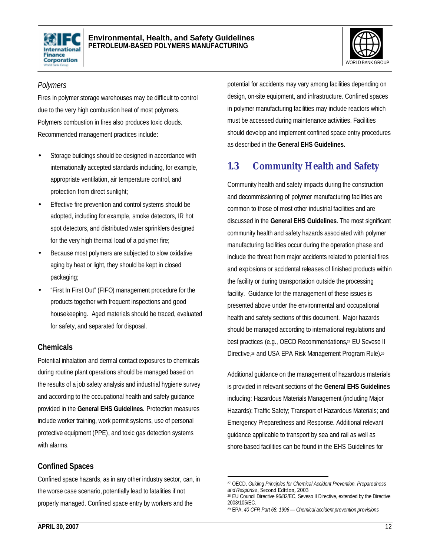



#### *Polymers*

Fires in polymer storage warehouses may be difficult to control due to the very high combustion heat of most polymers. Polymers combustion in fires also produces toxic clouds. Recommended management practices include:

- Storage buildings should be designed in accordance with internationally accepted standards including, for example, appropriate ventilation, air temperature control, and protection from direct sunlight;
- Effective fire prevention and control systems should be adopted, including for example, smoke detectors, IR hot spot detectors, and distributed water sprinklers designed for the very high thermal load of a polymer fire;
- Because most polymers are subjected to slow oxidative aging by heat or light, they should be kept in closed packaging;
- "First In First Out" (FIFO) management procedure for the products together with frequent inspections and good housekeeping. Aged materials should be traced, evaluated for safety, and separated for disposal.

#### **Chemicals**

Potential inhalation and dermal contact exposures to chemicals during routine plant operations should be managed based on the results of a job safety analysis and industrial hygiene survey and according to the occupational health and safety guidance provided in the **General EHS Guidelines.** Protection measures include worker training, work permit systems, use of personal protective equipment (PPE), and toxic gas detection systems with alarms.

#### **Confined Spaces**

Confined space hazards, as in any other industry sector, can, in the worse case scenario, potentially lead to fatalities if not properly managed. Confined space entry by workers and the

potential for accidents may vary among facilities depending on design, on-site equipment, and infrastructure. Confined spaces in polymer manufacturing facilities may include reactors which must be accessed during maintenance activities. Facilities should develop and implement confined space entry procedures as described in the **General EHS Guidelines.** 

## **1.3 Community Health and Safety**

Community health and safety impacts during the construction and decommissioning of polymer manufacturing facilities are common to those of most other industrial facilities and are discussed in the **General EHS Guidelines**. The most significant community health and safety hazards associated with polymer manufacturing facilities occur during the operation phase and include the threat from major accidents related to potential fires and explosions or accidental releases of finished products within the facility or during transportation outside the processing facility. Guidance for the management of these issues is presented above under the environmental and occupational health and safety sections of this document. Major hazards should be managed according to international regulations and best practices (e.g., OECD Recommendations, <sup>27</sup> EU Seveso II Directive,<sup>28</sup> and USA EPA Risk Management Program Rule).<sup>29</sup>

Additional guidance on the management of hazardous materials is provided in relevant sections of the **General EHS Guidelines** including: Hazardous Materials Management (including Major Hazards); Traffic Safety; Transport of Hazardous Materials; and Emergency Preparedness and Response. Additional relevant guidance applicable to transport by sea and rail as well as shore-based facilities can be found in the EHS Guidelines for

l <sup>27</sup> OECD, *Guiding Principles for Chemical Accident Prevention, Preparedness and Response*, Second Edition, 2003

<sup>28</sup> EU Council Directive 96/82/EC, Seveso II Directive, extended by the Directive 2003/105/EC.

<sup>29</sup> EPA, *40 CFR Part 68, 1996 — Chemical accident prevention provisions*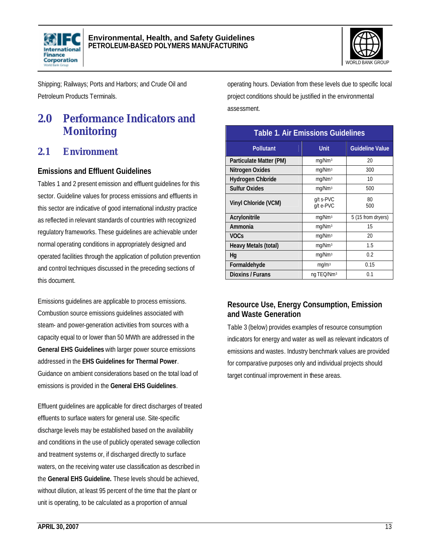



Shipping; Railways; Ports and Harbors; and Crude Oil and Petroleum Products Terminals.

## **2.0 Performance Indicators and Monitoring**

### **2.1 Environment**

#### **Emissions and Effluent Guidelines**

Tables 1 and 2 present emission and effluent guidelines for this sector. Guideline values for process emissions and effluents in this sector are indicative of good international industry practice as reflected in relevant standards of countries with recognized regulatory frameworks. These guidelines are achievable under normal operating conditions in appropriately designed and operated facilities through the application of pollution prevention and control techniques discussed in the preceding sections of this document.

Emissions guidelines are applicable to process emissions. Combustion source emissions guidelines associated with steam- and power-generation activities from sources with a capacity equal to or lower than 50 MWth are addressed in the **General EHS Guidelines** with larger power source emissions addressed in the **EHS Guidelines for Thermal Power**. Guidance on ambient considerations based on the total load of emissions is provided in the **General EHS Guidelines**.

Effluent guidelines are applicable for direct discharges of treated effluents to surface waters for general use. Site-specific discharge levels may be established based on the availability and conditions in the use of publicly operated sewage collection and treatment systems or, if discharged directly to surface waters, on the receiving water use classification as described in the **General EHS Guideline.** These levels should be achieved, without dilution, at least 95 percent of the time that the plant or unit is operating, to be calculated as a proportion of annual

operating hours. Deviation from these levels due to specific local project conditions should be justified in the environmental assessment.

| <b>Table 1. Air Emissions Guidelines</b> |                               |                        |  |  |  |  |  |
|------------------------------------------|-------------------------------|------------------------|--|--|--|--|--|
| <b>Pollutant</b>                         | <b>Unit</b>                   | <b>Guideline Value</b> |  |  |  |  |  |
| Particulate Matter (PM)                  | mg/Nm <sup>3</sup>            | 20                     |  |  |  |  |  |
| Nitrogen Oxides                          | mg/Nm <sup>3</sup>            | 300                    |  |  |  |  |  |
| <b>Hydrogen Chloride</b>                 | mg/Nm <sup>3</sup>            | 10                     |  |  |  |  |  |
| <b>Sulfur Oxides</b>                     | mg/Nm <sup>3</sup>            | 500                    |  |  |  |  |  |
| Vinyl Chloride (VCM)                     | g/t s-PVC<br>g/t e-PVC        | 80<br>500              |  |  |  |  |  |
| Acrylonitrile                            | mg/Nm <sup>3</sup>            | 5 (15 from dryers)     |  |  |  |  |  |
| Ammonia                                  | mg/Nm <sup>3</sup>            | 15                     |  |  |  |  |  |
| <b>VOCs</b>                              | mg/Nm <sup>3</sup>            | 20                     |  |  |  |  |  |
| Heavy Metals (total)                     | mq/Nm <sup>3</sup>            | 1.5                    |  |  |  |  |  |
| Hg                                       | mg/Nm <sup>3</sup>            | 0.2                    |  |  |  |  |  |
| Formaldehyde                             | mq/m <sup>3</sup>             | 0.15                   |  |  |  |  |  |
| Dioxins / Furans                         | ng TEQ/Nm <sup>3</sup><br>0.1 |                        |  |  |  |  |  |

#### **Resource Use, Energy Consumption, Emission and Waste Generation**

Table 3 (below) provides examples of resource consumption indicators for energy and water as well as relevant indicators of emissions and wastes. Industry benchmark values are provided for comparative purposes only and individual projects should target continual improvement in these areas.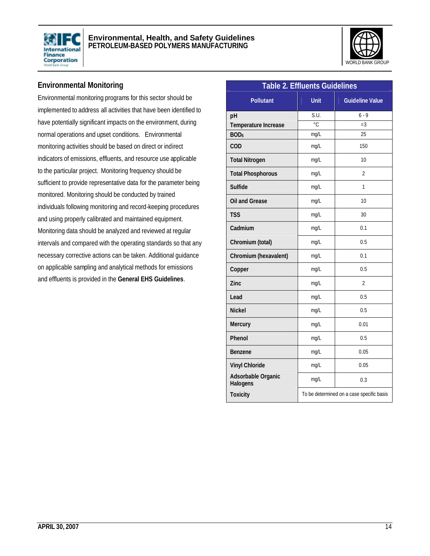



#### **Environmental Monitoring**

Environmental monitoring programs for this sector should be implemented to address all activities that have been identified to have potentially significant impacts on the environment, during normal operations and upset conditions. Environmental monitoring activities should be based on direct or indirect indicators of emissions, effluents, and resource use applicable to the particular project. Monitoring frequency should be sufficient to provide representative data for the parameter being monitored. Monitoring should be conducted by trained individuals following monitoring and record-keeping procedures and using properly calibrated and maintained equipment. Monitoring data should be analyzed and reviewed at regular intervals and compared with the operating standards so that any necessary corrective actions can be taken. Additional guidance on applicable sampling and analytical methods for emissions and effluents is provided in the **General EHS Guidelines**.

| <b>Table 2. Effluents Guidelines</b> |                                           |                        |  |  |  |  |  |  |
|--------------------------------------|-------------------------------------------|------------------------|--|--|--|--|--|--|
| <b>Pollutant</b>                     | Unit                                      | <b>Guideline Value</b> |  |  |  |  |  |  |
| pH                                   | S.U.                                      | $6 - 9$                |  |  |  |  |  |  |
| Temperature Increase                 | $\overline{C}$                            | $=$ 3                  |  |  |  |  |  |  |
| BOD <sub>5</sub>                     | mg/L                                      | 25                     |  |  |  |  |  |  |
| COD                                  | mg/L                                      | 150                    |  |  |  |  |  |  |
| <b>Total Nitrogen</b>                | mg/L                                      | 10                     |  |  |  |  |  |  |
| <b>Total Phosphorous</b>             | mg/L                                      | $\overline{2}$         |  |  |  |  |  |  |
| <b>Sulfide</b>                       | mg/L                                      | 1                      |  |  |  |  |  |  |
| Oil and Grease                       | mg/L                                      | 10                     |  |  |  |  |  |  |
| <b>TSS</b>                           | mg/L                                      | 30                     |  |  |  |  |  |  |
| Cadmium                              | mg/L                                      | 0.1                    |  |  |  |  |  |  |
| Chromium (total)                     | mg/L                                      | 0.5                    |  |  |  |  |  |  |
| Chromium (hexavalent)                | mg/L                                      | 0.1                    |  |  |  |  |  |  |
| Copper                               | mg/L                                      | 0.5                    |  |  |  |  |  |  |
| <b>Zinc</b>                          | mg/L                                      | $\overline{2}$         |  |  |  |  |  |  |
| Lead                                 | mg/L                                      | 0.5                    |  |  |  |  |  |  |
| <b>Nickel</b>                        | mg/L                                      | 0.5                    |  |  |  |  |  |  |
| <b>Mercury</b>                       | mg/L                                      | 0.01                   |  |  |  |  |  |  |
| Phenol                               | mg/L                                      | 0.5                    |  |  |  |  |  |  |
| <b>Benzene</b>                       | mg/L                                      | 0.05                   |  |  |  |  |  |  |
| <b>Vinyl Chloride</b>                | mg/L                                      | 0.05                   |  |  |  |  |  |  |
| Adsorbable Organic<br>Halogens       | mg/L                                      | 0.3                    |  |  |  |  |  |  |
| <b>Toxicity</b>                      | To be determined on a case specific basis |                        |  |  |  |  |  |  |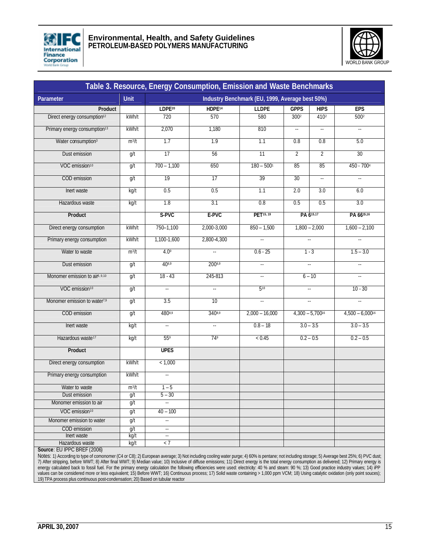



| Table 3. Resource, Energy Consumption, Emission and Waste Benchmarks |         |                                                 |                    |                          |                               |                  |                               |  |  |  |
|----------------------------------------------------------------------|---------|-------------------------------------------------|--------------------|--------------------------|-------------------------------|------------------|-------------------------------|--|--|--|
| Parameter                                                            | Unit    | Industry Benchmark (EU, 1999, Average best 50%) |                    |                          |                               |                  |                               |  |  |  |
| Product                                                              |         | LDPE <sub>20</sub>                              | HDPE <sup>14</sup> | <b>LLDPE</b>             | <b>GPPS</b>                   | <b>HIPS</b>      | <b>EPS</b>                    |  |  |  |
| Direct energy consumption <sup>12</sup>                              | kWh/t   | 720                                             | 570                | 580                      | 300 <sup>2</sup>              | 410 <sup>2</sup> | 500 <sup>2</sup>              |  |  |  |
| Primary energy consumption <sup>13</sup>                             | kWh/t   | 2,070                                           | 1.180              | 810                      | $\Box$                        | $\Box$           | цý,                           |  |  |  |
| Water consumption <sup>3</sup>                                       | $m^3/t$ | 1.7                                             | 1.9                | 1.1                      | 0.8                           | 0.8              | 5.0                           |  |  |  |
| Dust emission                                                        | g/t     | 17                                              | 56                 | 11                       | $\overline{2}$                | $\overline{2}$   | 30                            |  |  |  |
| VOC emission <sup>10</sup>                                           | g/t     | $700 - 1,100$                                   | 650                | $180 - 500$ <sup>1</sup> | 85                            | 85               | 450 - 7004                    |  |  |  |
| COD emission                                                         | g/t     | 19                                              | 17                 | 39                       | 30                            | ц.               | έé,                           |  |  |  |
| Inert waste                                                          | kg/t    | 0.5                                             | 0.5                | 1.1                      | 2.0                           | 3.0              | 6.0                           |  |  |  |
| Hazardous waste                                                      | kg/t    | 1.8                                             | 3.1                | 0.8                      | 0.5                           | 0.5              | 3.0                           |  |  |  |
| Product                                                              |         | S-PVC                                           | E-PVC              | PET <sub>15, 19</sub>    | PA 615,17                     |                  | PA 6615,16                    |  |  |  |
| Direct energy consumption                                            | kWh/t   | 750-1,100                                       | 2,000-3,000        | $850 - 1,500$            | $1,800 - 2,000$               |                  | $1,600 - 2,100$               |  |  |  |
| Primary energy consumption                                           | kWh/t   | 1,100-1,600                                     | 2,800-4,300        | $\overline{\phantom{a}}$ | Ξ,                            |                  | Ξ.                            |  |  |  |
| Water to waste                                                       | $m^3/t$ | 4.09                                            | $\Box$             | $0.6 - 25$               | $1 - 3$                       |                  | $1.5 - 3.0$                   |  |  |  |
| Dust emission                                                        | g/t     | 406,9                                           | 2006,9             | έć,                      | $\omega_{\rm m}$              |                  | цý,                           |  |  |  |
| Monomer emission to air <sup>5, 9,10</sup>                           | g/t     | $18 - 43$                                       | 245-813            | έć,                      | $6 - 10$                      |                  | цý,                           |  |  |  |
| VOC emission <sup>10</sup>                                           | g/t     | $\mathbb{Z}^2$                                  | $\bar{\mathbb{Z}}$ | 518                      | ω.                            |                  | $10 - 30$                     |  |  |  |
| Monomer emission to water <sup>7,9</sup>                             | g/t     | 3.5                                             | 10                 | u.                       | цý,                           |                  | $\omega_{\rm m}$              |  |  |  |
| COD emission                                                         | g/t     | 4808,9                                          | 3408,9             | $2,000 - 16,000$         | $4,300 - 5,700$ <sup>16</sup> |                  | $4,500 - 6,000$ <sup>16</sup> |  |  |  |
| Inert waste                                                          | kg/t    | $\omega_{\rm m}$                                | $\omega$           | $0.8 - 18$               | $3.0 - 3.5$                   |                  | $3.0 - 3.5$                   |  |  |  |
| Hazardous waste <sup>17</sup>                                        | kg/t    | 559                                             | 749                | < 0.45                   | $0.2 - 0.5$                   |                  | $0.2 - 0.5$                   |  |  |  |
| Product                                                              |         | <b>UPES</b>                                     |                    |                          |                               |                  |                               |  |  |  |
| Direct energy consumption                                            | kWh/t   | < 1,000                                         |                    |                          |                               |                  |                               |  |  |  |
| Primary energy consumption                                           | kWh/t   | $\omega_{\rm m}$                                |                    |                          |                               |                  |                               |  |  |  |
| Water to waste                                                       | $m^3/t$ | $1 - 5$                                         |                    |                          |                               |                  |                               |  |  |  |
| Dust emission                                                        | g/t     | $5 - 30$                                        |                    |                          |                               |                  |                               |  |  |  |
| Monomer emission to air                                              | g/t     | ÷.                                              |                    |                          |                               |                  |                               |  |  |  |
| VOC emission <sup>10</sup>                                           | g/t     | $40 - 100$                                      |                    |                          |                               |                  |                               |  |  |  |
| Monomer emission to water                                            | g/t     | $\mathbb{Z}^2$                                  |                    |                          |                               |                  |                               |  |  |  |
| COD emission                                                         | g/t     | ÷.                                              |                    |                          |                               |                  |                               |  |  |  |
| Inert waste                                                          | kg/t    | $\omega_{\rm m}$                                |                    |                          |                               |                  |                               |  |  |  |
| Hazardous waste                                                      | kg/t    | < 7                                             |                    |                          |                               |                  |                               |  |  |  |

**Source**: EU IPPC BREF (2006)

Notes: 1) According to type of comonomer (C4 or C8); 2) European average; 3) Not including cooling water purge; 4) 60% is pentane; not including storage; 5) Average best 25%; 6) PVC dust;<br>7) After stripping, before WWT; 8) energy calculated back to fossil fuel. For the primary energy calculation the following efficiencies were used: electricity: 40 % and steam: 90 %; 13) Good practice industry values; 14) iPP values can be considered more or less equivalent; 15) Before WWT; 16) Continuous process; 17) Solid waste containing > 1,000 ppm VCM; 18) Using catalytic oxidation (only point souces); 19) TPA process plus continuous post-condensation; 20) Based on tubular reactor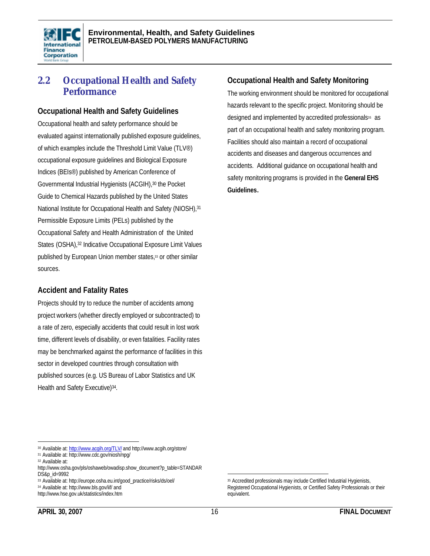

### **2.2 Occupational Health and Safety Performance**

#### **Occupational Health and Safety Guidelines**

Occupational health and safety performance should be evaluated against internationally published exposure guidelines, of which examples include the Threshold Limit Value (TLV®) occupational exposure guidelines and Biological Exposure Indices (BEIs®) published by American Conference of Governmental Industrial Hygienists (ACGIH), 30 the Pocket Guide to Chemical Hazards published by the United States National Institute for Occupational Health and Safety (NIOSH), 31 Permissible Exposure Limits (PELs) published by the Occupational Safety and Health Administration of the United States (OSHA),<sup>32</sup> Indicative Occupational Exposure Limit Values published by European Union member states,<sup>33</sup> or other similar sources.

#### **Accident and Fatality Rates**

Projects should try to reduce the number of accidents among project workers (whether directly employed or subcontracted) to a rate of zero, especially accidents that could result in lost work time, different levels of disability, or even fatalities. Facility rates may be benchmarked against the performance of facilities in this sector in developed countries through consultation with published sources (e.g. US Bureau of Labor Statistics and UK Health and Safety Executive)<sup>34</sup>.

#### **Occupational Health and Safety Monitoring**

The working environment should be monitored for occupational hazards relevant to the specific project. Monitoring should be designed and implemented by accredited professionals<sup>35</sup> as part of an occupational health and safety monitoring program. Facilities should also maintain a record of occupational accidents and diseases and dangerous occurrences and accidents. Additional guidance on occupational health and safety monitoring programs is provided in the **General EHS Guidelines.** 

<sup>31</sup> Available at: http://www.cdc.gov/niosh/npg/

 $\overline{a}$ 

1

equivalent.

35 Accredited professionals may include Certified Industrial Hygienists, Registered Occupational Hygienists, or Certified Safety Professionals or their

<sup>30</sup> Available at: http://www.acgih.org/TLV/ and http://www.acgih.org/store/

<sup>32</sup> Available at:

http://www.osha.gov/pls/oshaweb/owadisp.show\_document?p\_table=STANDAR DS&p\_id=9992

<sup>33</sup> Available at: http://europe.osha.eu.int/good\_practice/risks/ds/oel/

<sup>34</sup> Available at: http://www.bls.gov/iif/ and

http://www.hse.gov.uk/statistics/index.htm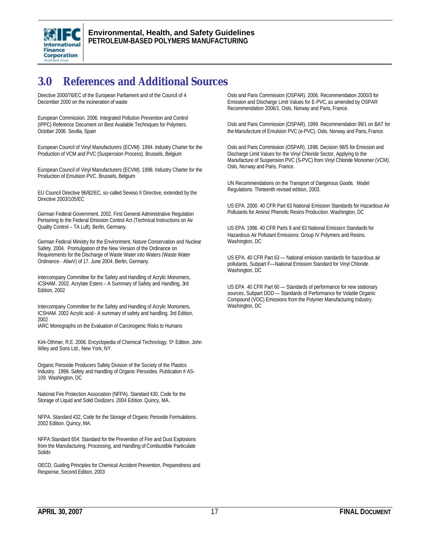

## **3.0 References and Additional Sources**

Directive 2000/76/EC of the European Parliament and of the Council of 4 December 2000 on the incineration of waste

European Commission. 2006. Integrated Pollution Prevention and Control (IPPC) Reference Document on Best Available Techniques for Polymers. October 2006. Sevilla, Spain

European Council of Vinyl Manufacturers (ECVM). 1994. Industry Charter for the Production of VCM and PVC (Suspension Process). Brussels, Belgium

European Council of Vinyl Manufacturers (ECVM). 1998. Industry Charter for the Production of Emulsion PVC. Brussels, Belgium

EU Council Directive 96/82/EC, so-called Seveso II Directive, extended by the Directive 2003/105/EC

German Federal Government. 2002. First General Administrative Regulation Pertaining to the Federal Emission Control Act (Technical Instructions on Air Quality Control – TA Luft). Berlin, Germany.

German Federal Ministry for the Environment, Nature Conservation and Nuclear Safety. 2004. Promulgation of the New Version of the Ordinance on Requirements for the Discharge of Waste Water into Waters (Waste Water Ordinance - AbwV) of 17. June 2004. Berlin, Germany.

Intercompany Committee for the Safety and Handling of Acrylic Monomers, ICSHAM. 2002. Acrylate Esters – A Summary of Safety and Handling, 3rd Edition, 2002

Intercompany Committee for the Safety and Handling of Acrylic Monomers, ICSHAM. 2002 Acrylic acid - A summary of safety and handling, 3rd Edition, 2002

IARC Monographs on the Evaluation of Carcinogenic Risks to Humans

Kirk-Othmer, R.E. 2006. Encyclopedia of Chemical Technology. 5<sup>th</sup> Edition. John Wiley and Sons Ltd., New York, NY.

Organic Peroxide Producers Safety Division of the Society of the Plastics Industry. 1999. Safety and Handling of Organic Peroxides. Publication # AS-109. Washington, DC

National Fire Protection Association (NFPA). Standard 430, Code for the Storage of Liquid and Solid Oxidizers. 2004 Edition. Quincy, MA.

NFPA. Standard 432, Code for the Storage of Organic Peroxide Formulations. 2002 Edition. Quincy, MA.

NFPA Standard 654: Standard for the Prevention of Fire and Dust Explosions from the Manufacturing, Processing, and Handling of Combustible Particulate Solids

OECD, Guiding Principles for Chemical Accident Prevention, Preparedness and Response, Second Edition, 2003

Oslo and Paris Commission (OSPAR). 2006. Recommendation 2000/3 for Emission and Discharge Limit Values for E-PVC, as amended by OSPAR Recommendation 2006/1. Oslo, Norway and Paris, France.

Oslo and Paris Commission (OSPAR). 1999. Recommendation 99/1 on BAT for the Manufacture of Emulsion PVC (e-PVC). Oslo, Norway and Paris, France.

Oslo and Paris Commission (OSPAR). 1998. Decision 98/5 for Emission and Discharge Limit Values for the Vinyl Chloride Sector, Applying to the Manufacture of Suspension PVC (S-PVC) from Vinyl Chloride Monomer (VCM). Oslo, Norway and Paris, France.

UN Recommendations on the Transport of Dangerous Goods. Model Regulations. Thirteenth revised edition, 2003.

US EPA. 2000. 40 CFR Part 63 National Emission Standards for Hazardous Air Pollutants for Amino/ Phenolic Resins Production. Washington, DC

US EPA. 1996. 40 CFR Parts 9 and 63 National Emission Standards for Hazardous Air Pollutant Emissions: Group IV Polymers and Resins. Washington, DC

US EPA. 40 CFR Part 63 — National emission standards for hazardous air pollutants, Subpart F—National Emission Standard for Vinyl Chloride. Washington, DC

US EPA 40 CFR Part 60 — Standards of performance for new stationary sources, Subpart DDD - Standards of Performance for Volatile Organic Compound (VOC) Emissions from the Polymer Manufacturing Industry. Washington, DC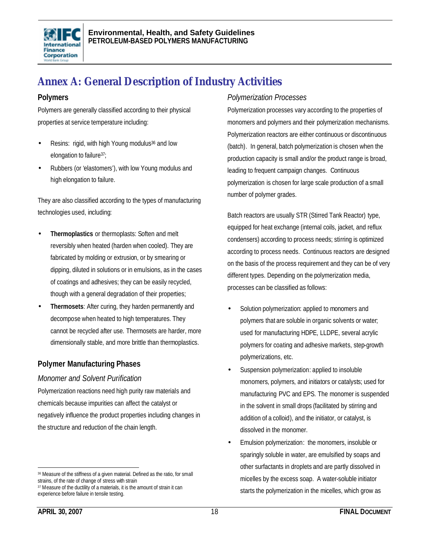

## **Annex A: General Description of Industry Activities**

#### **Polymers**

Polymers are generally classified according to their physical properties at service temperature including:

- Resins: rigid, with high Young modulus<sup>36</sup> and low elongation to failure<sup>37</sup>;
- Rubbers (or 'elastomers'), with low Young modulus and high elongation to failure.

They are also classified according to the types of manufacturing technologies used, including:

- **Thermoplastics** or thermoplasts: Soften and melt reversibly when heated (harden when cooled). They are fabricated by molding or extrusion, or by smearing or dipping, diluted in solutions or in emulsions, as in the cases of coatings and adhesives; they can be easily recycled, though with a general degradation of their properties;
- **Thermosets:** After curing, they harden permanently and decompose when heated to high temperatures. They cannot be recycled after use. Thermosets are harder, more dimensionally stable, and more brittle than thermoplastics.

### **Polymer Manufacturing Phases**

#### *Monomer and Solvent Purification*

Polymerization reactions need high purity raw materials and chemicals because impurities can affect the catalyst or negatively influence the product properties including changes in the structure and reduction of the chain length.

#### *Polymerization Processes*

Polymerization processes vary according to the properties of monomers and polymers and their polymerization mechanisms. Polymerization reactors are either continuous or discontinuous (batch). In general, batch polymerization is chosen when the production capacity is small and/or the product range is broad, leading to frequent campaign changes. Continuous polymerization is chosen for large scale production of a small number of polymer grades.

Batch reactors are usually STR (Stirred Tank Reactor) type, equipped for heat exchange (internal coils, jacket, and reflux condensers) according to process needs; stirring is optimized according to process needs. Continuous reactors are designed on the basis of the process requirement and they can be of very different types. Depending on the polymerization media, processes can be classified as follows:

- Solution polymerization: applied to monomers and polymers that are soluble in organic solvents or water; used for manufacturing HDPE, LLDPE, several acrylic polymers for coating and adhesive markets, step-growth polymerizations, etc.
- Suspension polymerization: applied to insoluble monomers, polymers, and initiators or catalysts; used for manufacturing PVC and EPS. The monomer is suspended in the solvent in small drops (facilitated by stirring and addition of a colloid), and the initiator, or catalyst, is dissolved in the monomer.
- Emulsion polymerization: the monomers, insoluble or sparingly soluble in water, are emulsified by soaps and other surfactants in droplets and are partly dissolved in micelles by the excess soap. A water-soluble initiator starts the polymerization in the micelles, which grow as

 $\overline{a}$ <sup>36</sup> Measure of the stiffness of a given material. Defined as the ratio, for small strains, of the rate of change of stress with strain

<sup>&</sup>lt;sup>37</sup> Measure of the ductility of a materials, it is the amount of strain it can experience before failure in tensile testing.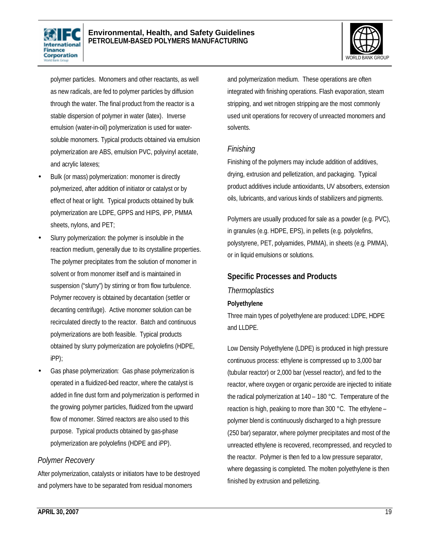



polymer particles. Monomers and other reactants, as well as new radicals, are fed to polymer particles by diffusion through the water. The final product from the reactor is a stable dispersion of polymer in water (latex). Inverse emulsion (water-in-oil) polymerization is used for watersoluble monomers. Typical products obtained via emulsion polymerization are ABS, emulsion PVC, polyvinyl acetate, and acrylic latexes;

- Bulk (or mass) polymerization: monomer is directly polymerized, after addition of initiator or catalyst or by effect of heat or light. Typical products obtained by bulk polymerization are LDPE, GPPS and HIPS, iPP, PMMA sheets, nylons, and PET;
- Slurry polymerization: the polymer is insoluble in the reaction medium, generally due to its crystalline properties. The polymer precipitates from the solution of monomer in solvent or from monomer itself and is maintained in suspension ("slurry") by stirring or from flow turbulence. Polymer recovery is obtained by decantation (settler or decanting centrifuge). Active monomer solution can be recirculated directly to the reactor. Batch and continuous polymerizations are both feasible. Typical products obtained by slurry polymerization are polyolefins (HDPE, iPP);
- Gas phase polymerization: Gas phase polymerization is operated in a fluidized-bed reactor, where the catalyst is added in fine dust form and polymerization is performed in the growing polymer particles, fluidized from the upward flow of monomer. Stirred reactors are also used to this purpose. Typical products obtained by gas-phase polymerization are polyolefins (HDPE and iPP).

#### *Polymer Recovery*

After polymerization, catalysts or initiators have to be destroyed and polymers have to be separated from residual monomers

and polymerization medium. These operations are often integrated with finishing operations. Flash evaporation, steam stripping, and wet nitrogen stripping are the most commonly used unit operations for recovery of unreacted monomers and solvents.

#### *Finishing*

Finishing of the polymers may include addition of additives, drying, extrusion and pelletization, and packaging. Typical product additives include antioxidants, UV absorbers, extension oils, lubricants, and various kinds of stabilizers and pigments.

Polymers are usually produced for sale as a powder (e.g. PVC), in granules (e.g. HDPE, EPS), in pellets (e.g. polyolefins, polystyrene, PET, polyamides, PMMA), in sheets (e.g. PMMA), or in liquid emulsions or solutions.

#### **Specific Processes and Products**

*Thermoplastics*

#### **Polyethylene**

Three main types of polyethylene are produced: LDPE, HDPE and LLDPE.

Low Density Polyethylene (LDPE) is produced in high pressure continuous process: ethylene is compressed up to 3,000 bar (tubular reactor) or 2,000 bar (vessel reactor), and fed to the reactor, where oxygen or organic peroxide are injected to initiate the radical polymerization at 140 – 180 °C. Temperature of the reaction is high, peaking to more than 300 °C. The ethylene – polymer blend is continuously discharged to a high pressure (250 bar) separator, where polymer precipitates and most of the unreacted ethylene is recovered, recompressed, and recycled to the reactor. Polymer is then fed to a low pressure separator, where degassing is completed. The molten polyethylene is then finished by extrusion and pelletizing.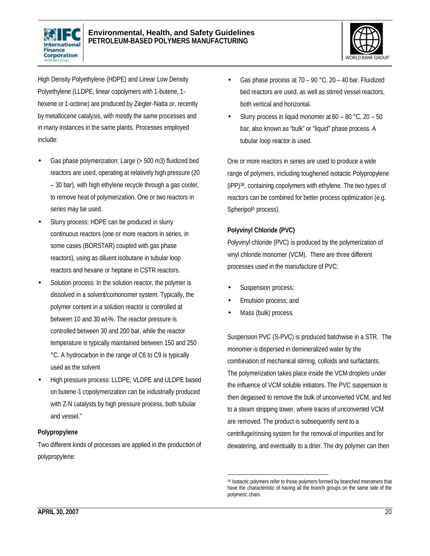



High Density Polyethylene (HDPE) and Linear Low Density Polyethylene (LLDPE, linear copolymers with 1-butene, 1 hexene or 1-octene) are produced by Ziegler-Natta or, recently by metallocene catalysis, with mostly the same processes and in many instances in the same plants. Processes employed include:

- Gas phase polymerization: Large (> 500 m3) fluidized bed reactors are used, operating at relatively high pressure (20 – 30 bar), with high ethylene recycle through a gas cooler, to remove heat of polymerization. One or two reactors in series may be used.
- Slurry process: HDPE can be produced in slurry continuous reactors (one or more reactors in series, in some cases (BORSTAR) coupled with gas phase reactors), using as diluent isobutane in tubular loop reactors and hexane or heptane in CSTR reactors.
- Solution process: In the solution reactor, the polymer is dissolved in a solvent/comonomer system. Typically, the polymer content in a solution reactor is controlled at between 10 and 30 wt-%. The reactor pressure is controlled between 30 and 200 bar, while the reactor temperature is typically maintained between 150 and 250 °C. A hydrocarbon in the range of C6 to C9 is typically used as the solvent
- High pressure process: LLDPE, VLDPE and ULDPE based on butene-1 copolymerization can be industrially produced with Z-N catalysts by high pressure process, both tubular and vessel."

#### **Polypropylene**

Two different kinds of processes are applied in the production of polypropylene:

- Gas phase process at 70 90 °C, 20 40 bar. Fluidized bed reactors are used, as well as stirred vessel reactors, both vertical and horizontal.
- Slurry process in liquid monomer at  $60 80$  °C,  $20 50$ bar, also known as "bulk" or "liquid" phase process. A tubular loop reactor is used.

One or more reactors in series are used to produce a wide range of polymers, including toughened isotactic Polypropylene (iPP)38, containing copolymers with ethylene. The two types of reactors can be combined for better process optimization (e.g. Spheripol® process).

#### **Polyvinyl Chloride (PVC)**

Polyvinyl chloride (PVC) is produced by the polymerization of vinyl chloride monomer (VCM). There are three different processes used in the manufacture of PVC:

- Suspension process;
- Emulsion process; and
- Mass (bulk) process.

Suspension PVC (S-PVC) is produced batchwise in a STR. The monomer is dispersed in demineralized water by the combination of mechanical stirring, colloids and surfactants. The polymerization takes place inside the VCM droplets under the influence of VCM soluble initiators. The PVC suspension is then degassed to remove the bulk of unconverted VCM, and fed to a steam stripping tower, where traces of unconverted VCM are removed. The product is subsequently sent to a centrifuge/rinsing system for the removal of impurities and for dewatering, and eventually to a drier. The dry polymer can then

<sup>1</sup> 38 Isotactic polymers refer to those polymers formed by branched monomers that have the characteristic of having all the branch groups on the same side of the polymeric chain.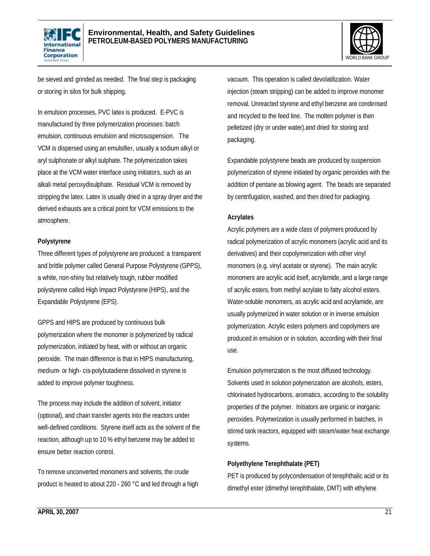



be sieved and grinded as needed. The final step is packaging or storing in silos for bulk shipping.

In emulsion processes, PVC latex is produced. E-PVC is manufactured by three polymerization processes: batch emulsion, continuous emulsion and microsuspension. The VCM is dispersed using an emulsifier, usually a sodium alkyl or aryl sulphonate or alkyl sulphate. The polymerization takes place at the VCM water interface using initiators, such as an alkali metal peroxydisulphate. Residual VCM is removed by stripping the latex. Latex is usually dried in a spray dryer and the derived exhausts are a critical point for VCM emissions to the atmosphere.

#### **Polystyrene**

Three different types of polystyrene are produced: a transparent and brittle polymer called General Purpose Polystyrene (GPPS), a white, non-shiny but relatively tough, rubber modified polystyrene called High Impact Polystyrene (HIPS), and the Expandable Polystyrene (EPS).

GPPS and HIPS are produced by continuous bulk polymerization where the monomer is polymerized by radical polymerization, initiated by heat, with or without an organic peroxide. The main difference is that in HIPS manufacturing, medium- or high- cis-polybutadiene dissolved in styrene is added to improve polymer toughness.

The process may include the addition of solvent, initiator (optional), and chain transfer agents into the reactors under well-defined conditions. Styrene itself acts as the solvent of the reaction, although up to 10 % ethyl benzene may be added to ensure better reaction control.

To remove unconverted monomers and solvents, the crude product is heated to about 220 - 260 °C and led through a high vacuum. This operation is called devolatilization. Water injection (steam stripping) can be added to improve monomer removal. Unreacted styrene and ethyl benzene are condensed and recycled to the feed line. The molten polymer is then pelletized (dry or under water).and dried for storing and packaging.

Expandable polystyrene beads are produced by suspension polymerization of styrene initiated by organic peroxides with the addition of pentane as blowing agent. The beads are separated by centrifugation, washed, and then dried for packaging.

#### **Acrylates**

Acrylic polymers are a wide class of polymers produced by radical polymerization of acrylic monomers (acrylic acid and its derivatives) and their copolymerization with other vinyl monomers (e.g. vinyl acetate or styrene). The main acrylic monomers are acrylic acid itself, acrylamide, and a large range of acrylic esters, from methyl acrylate to fatty alcohol esters. Water-soluble monomers, as acrylic acid and acrylamide, are usually polymerized in water solution or in inverse emulsion polymerization. Acrylic esters polymers and copolymers are produced in emulsion or in solution, according with their final use.

Emulsion polymerization is the most diffused technology. Solvents used in solution polymerization are alcohols, esters, chlorinated hydrocarbons, aromatics, according to the solubility properties of the polymer. Initiators are organic or inorganic peroxides. Polymerization is usually performed in batches, in stirred tank reactors, equipped with steam/water heat exchange systems.

#### **Polyethylene Terephthalate (PET)**

PET is produced by polycondensation of terephthalic acid or its dimethyl ester (dimethyl terephthalate, DMT) with ethylene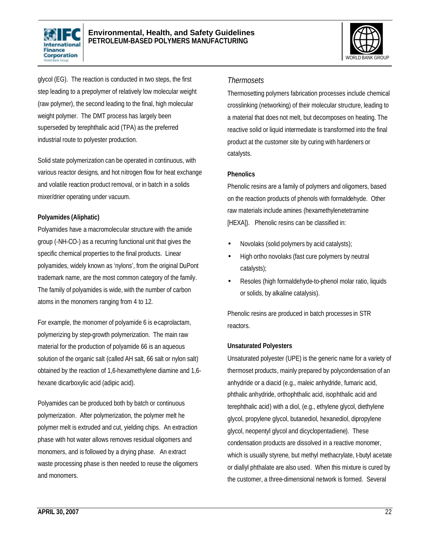



glycol (EG). The reaction is conducted in two steps, the first step leading to a prepolymer of relatively low molecular weight (raw polymer), the second leading to the final, high molecular weight polymer. The DMT process has largely been superseded by terephthalic acid (TPA) as the preferred industrial route to polyester production.

Solid state polymerization can be operated in continuous, with various reactor designs, and hot nitrogen flow for heat exchange and volatile reaction product removal, or in batch in a solids mixer/drier operating under vacuum.

#### **Polyamides (Aliphatic)**

Polyamides have a macromolecular structure with the amide group (-NH-CO-) as a recurring functional unit that gives the specific chemical properties to the final products. Linear polyamides, widely known as 'nylons', from the original DuPont trademark name, are the most common category of the family. The family of polyamides is wide, with the number of carbon atoms in the monomers ranging from 4 to 12.

For example, the monomer of polyamide 6 is e-caprolactam, polymerizing by step-growth polymerization. The main raw material for the production of polyamide 66 is an aqueous solution of the organic salt (called AH salt, 66 salt or nylon salt) obtained by the reaction of 1,6-hexamethylene diamine and 1,6 hexane dicarboxylic acid (adipic acid).

Polyamides can be produced both by batch or continuous polymerization. After polymerization, the polymer melt he polymer melt is extruded and cut, yielding chips. An extraction phase with hot water allows removes residual oligomers and monomers, and is followed by a drying phase. An extract waste processing phase is then needed to reuse the oligomers and monomers.

#### *Thermosets*

Thermosetting polymers fabrication processes include chemical crosslinking (networking) of their molecular structure, leading to a material that does not melt, but decomposes on heating. The reactive solid or liquid intermediate is transformed into the final product at the customer site by curing with hardeners or catalysts.

#### **Phenolics**

Phenolic resins are a family of polymers and oligomers, based on the reaction products of phenols with formaldehyde. Other raw materials include amines (hexamethylenetetramine [HEXA]). Phenolic resins can be classified in:

- Novolaks (solid polymers by acid catalysts);
- High ortho novolaks (fast cure polymers by neutral catalysts);
- Resoles (high formaldehyde-to-phenol molar ratio, liquids or solids, by alkaline catalysis).

Phenolic resins are produced in batch processes in STR reactors.

#### **Unsaturated Polyesters**

Unsaturated polyester (UPE) is the generic name for a variety of thermoset products, mainly prepared by polycondensation of an anhydride or a diacid (e.g., maleic anhydride, fumaric acid, phthalic anhydride, orthophthalic acid, isophthalic acid and terephthalic acid) with a diol, (e.g., ethylene glycol, diethylene glycol, propylene glycol, butanediol, hexanediol, dipropylene glycol, neopentyl glycol and dicyclopentadiene). These condensation products are dissolved in a reactive monomer, which is usually styrene, but methyl methacrylate, t-butyl acetate or diallyl phthalate are also used. When this mixture is cured by the customer, a three-dimensional network is formed. Several